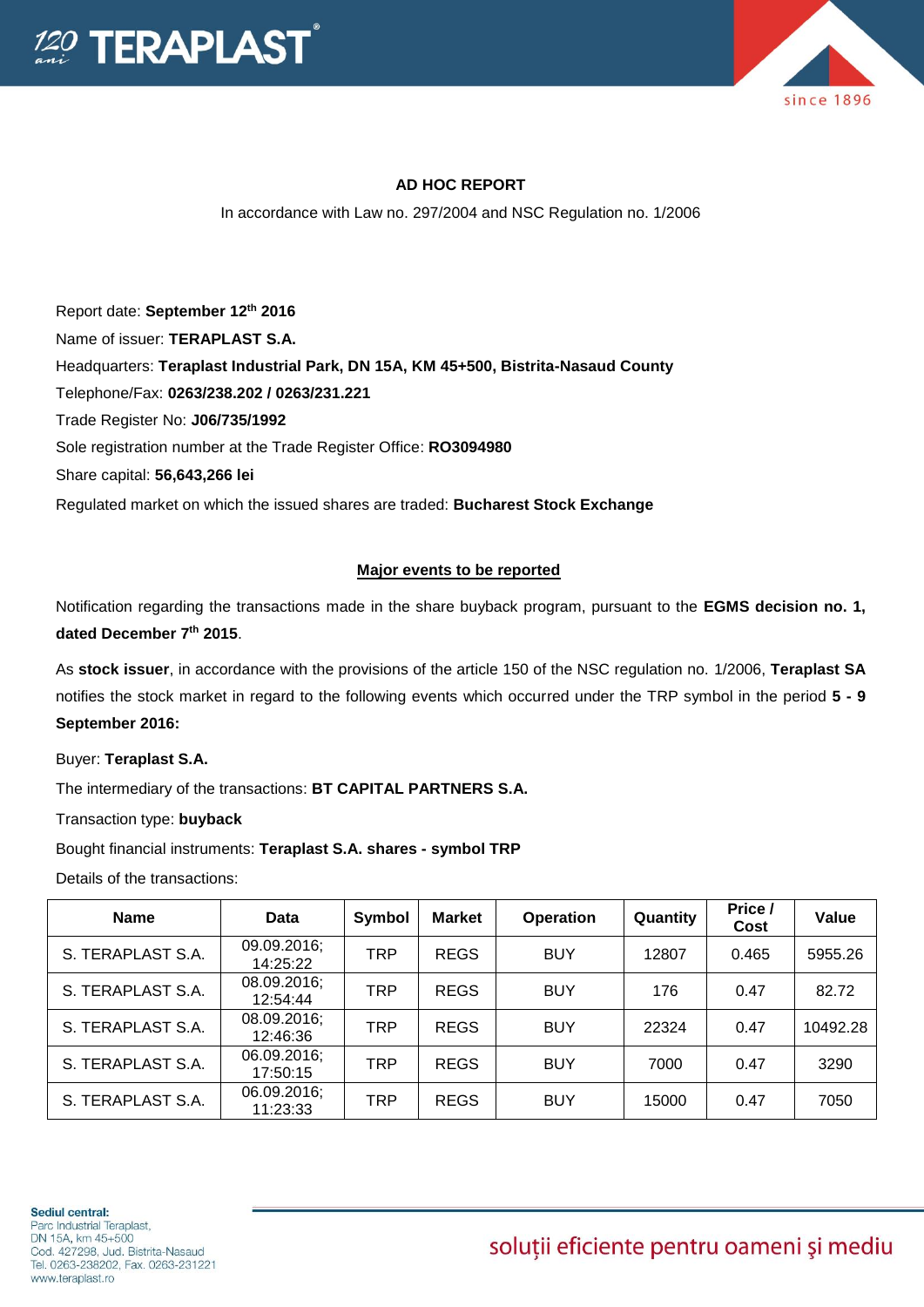



## **AD HOC REPORT**

In accordance with Law no. 297/2004 and NSC Regulation no. 1/2006

Report date: **September 12th 2016** Name of issuer: **TERAPLAST S.A.**  Headquarters: **Teraplast Industrial Park, DN 15A, KM 45+500, Bistrita-Nasaud County** Telephone/Fax: **0263/238.202 / 0263/231.221** Trade Register No: **J06/735/1992** Sole registration number at the Trade Register Office: **RO3094980** Share capital: **56,643,266 lei**  Regulated market on which the issued shares are traded: **Bucharest Stock Exchange**

## **Major events to be reported**

Notification regarding the transactions made in the share buyback program, pursuant to the **EGMS decision no. 1, dated December 7th 2015**.

As **stock issuer**, in accordance with the provisions of the article 150 of the NSC regulation no. 1/2006, **Teraplast SA** notifies the stock market in regard to the following events which occurred under the TRP symbol in the period **5 - 9 September 2016:**

Buyer: **Teraplast S.A.**

The intermediary of the transactions: **BT CAPITAL PARTNERS S.A.**

Transaction type: **buyback**

Bought financial instruments: **Teraplast S.A. shares - symbol TRP**

Details of the transactions:

| <b>Name</b>       | Data                    | Symbol     | <b>Market</b> | <b>Operation</b> | Quantity | Price /<br>Cost | Value    |
|-------------------|-------------------------|------------|---------------|------------------|----------|-----------------|----------|
| S. TERAPLAST S.A. | 09.09.2016;<br>14:25:22 | <b>TRP</b> | <b>REGS</b>   | <b>BUY</b>       | 12807    | 0.465           | 5955.26  |
| S. TERAPLAST S.A. | 08.09.2016;<br>12:54:44 | <b>TRP</b> | <b>REGS</b>   | <b>BUY</b>       | 176      | 0.47            | 82.72    |
| S. TERAPLAST S.A. | 08.09.2016;<br>12:46:36 | <b>TRP</b> | <b>REGS</b>   | <b>BUY</b>       | 22324    | 0.47            | 10492.28 |
| S. TERAPLAST S.A. | 06.09.2016;<br>17:50:15 | <b>TRP</b> | <b>REGS</b>   | <b>BUY</b>       | 7000     | 0.47            | 3290     |
| S. TERAPLAST S.A. | 06.09.2016;<br>11:23:33 | <b>TRP</b> | <b>REGS</b>   | <b>BUY</b>       | 15000    | 0.47            | 7050     |